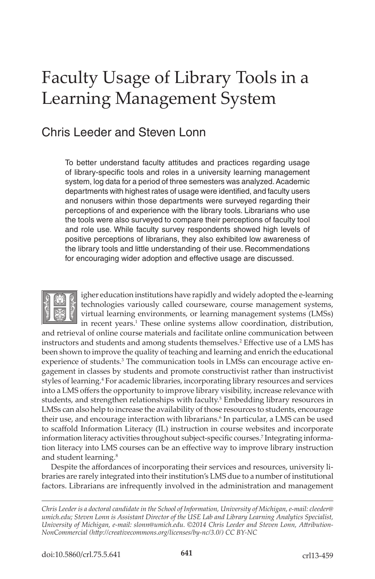## Chris Leeder and Steven Lonn

To better understand faculty attitudes and practices regarding usage of library-specific tools and roles in a university learning management system, log data for a period of three semesters was analyzed. Academic departments with highest rates of usage were identified, and faculty users and nonusers within those departments were surveyed regarding their perceptions of and experience with the library tools. Librarians who use the tools were also surveyed to compare their perceptions of faculty tool and role use. While faculty survey respondents showed high levels of positive perceptions of librarians, they also exhibited low awareness of the library tools and little understanding of their use. Recommendations for encouraging wider adoption and effective usage are discussed.



igher education institutions have rapidly and widely adopted the e-learning technologies variously called courseware, course management systems, virtual learning environments, or learning management systems (LMSs) in recent years.<sup>1</sup> These online systems allow coordination, distribution,

and retrieval of online course materials and facilitate online communication between instructors and students and among students themselves.2 Effective use of a LMS has been shown to improve the quality of teaching and learning and enrich the educational experience of students.<sup>3</sup> The communication tools in LMSs can encourage active engagement in classes by students and promote constructivist rather than instructivist styles of learning.4 For academic libraries, incorporating library resources and services into a LMS offers the opportunity to improve library visibility, increase relevance with students, and strengthen relationships with faculty.<sup>5</sup> Embedding library resources in LMSs can also help to increase the availability of those resources to students, encourage their use, and encourage interaction with librarians.<sup>6</sup> In particular, a LMS can be used to scaffold Information Literacy (IL) instruction in course websites and incorporate information literacy activities throughout subject-specific courses.<sup>7</sup> Integrating information literacy into LMS courses can be an effective way to improve library instruction and student learning.<sup>8</sup>

Despite the affordances of incorporating their services and resources, university libraries are rarely integrated into their institution's LMS due to a number of institutional factors. Librarians are infrequently involved in the administration and management

*Chris Leeder is a doctoral candidate in the School of Information, University of Michigan, e-mail: cleeder@ umich.edu; Steven Lonn is Assistant Director of the USE Lab and Library Learning Analytics Specialist, University of Michigan, e-mail: slonn@umich.edu. ©2014 Chris Leeder and Steven Lonn, Attribution-NonCommercial (http://creativecommons.org/licenses/by-nc/3.0/) CC BY-NC*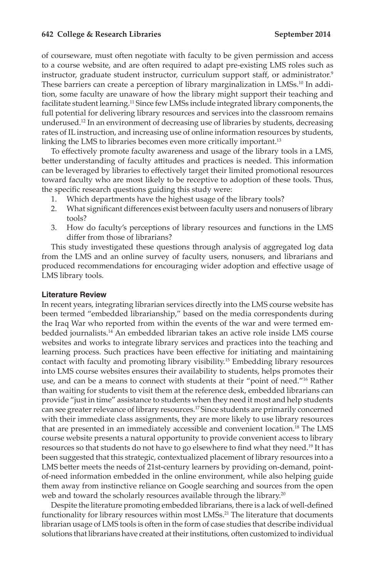of courseware, must often negotiate with faculty to be given permission and access to a course website, and are often required to adapt pre-existing LMS roles such as instructor, graduate student instructor, curriculum support staff, or administrator.<sup>9</sup> These barriers can create a perception of library marginalization in LMSs.<sup>10</sup> In addition, some faculty are unaware of how the library might support their teaching and facilitate student learning.<sup>11</sup> Since few LMSs include integrated library components, the full potential for delivering library resources and services into the classroom remains underused.12 In an environment of decreasing use of libraries by students, decreasing rates of IL instruction, and increasing use of online information resources by students, linking the LMS to libraries becomes even more critically important.<sup>13</sup>

To effectively promote faculty awareness and usage of the library tools in a LMS, better understanding of faculty attitudes and practices is needed. This information can be leveraged by libraries to effectively target their limited promotional resources toward faculty who are most likely to be receptive to adoption of these tools. Thus, the specific research questions guiding this study were:

- 1. Which departments have the highest usage of the library tools?
- 2. What significant differences exist between faculty users and nonusers of library tools?
- 3. How do faculty's perceptions of library resources and functions in the LMS differ from those of librarians?

This study investigated these questions through analysis of aggregated log data from the LMS and an online survey of faculty users, nonusers, and librarians and produced recommendations for encouraging wider adoption and effective usage of LMS library tools.

### **Literature Review**

In recent years, integrating librarian services directly into the LMS course website has been termed "embedded librarianship," based on the media correspondents during the Iraq War who reported from within the events of the war and were termed embedded journalists.14 An embedded librarian takes an active role inside LMS course websites and works to integrate library services and practices into the teaching and learning process. Such practices have been effective for initiating and maintaining contact with faculty and promoting library visibility.15 Embedding library resources into LMS course websites ensures their availability to students, helps promotes their use, and can be a means to connect with students at their "point of need."16 Rather than waiting for students to visit them at the reference desk, embedded librarians can provide "just in time" assistance to students when they need it most and help students can see greater relevance of library resources.17 Since students are primarily concerned with their immediate class assignments, they are more likely to use library resources that are presented in an immediately accessible and convenient location.18 The LMS course website presents a natural opportunity to provide convenient access to library resources so that students do not have to go elsewhere to find what they need.<sup>19</sup> It has been suggested that this strategic, contextualized placement of library resources into a LMS better meets the needs of 21st-century learners by providing on-demand, pointof-need information embedded in the online environment, while also helping guide them away from instinctive reliance on Google searching and sources from the open web and toward the scholarly resources available through the library.<sup>20</sup>

Despite the literature promoting embedded librarians, there is a lack of well-defined functionality for library resources within most LMSs.<sup>21</sup> The literature that documents librarian usage of LMS tools is often in the form of case studies that describe individual solutions that librarians have created at their institutions, often customized to individual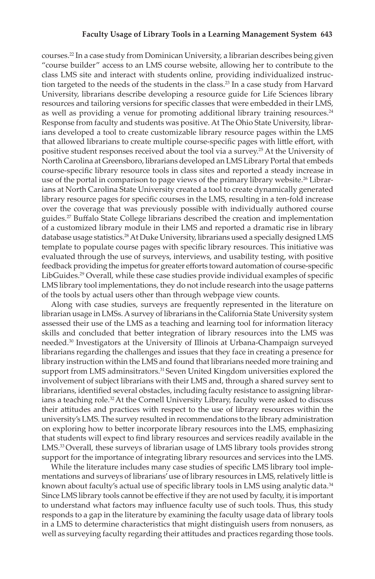courses.22 In a case study from Dominican University, a librarian describes being given "course builder" access to an LMS course website, allowing her to contribute to the class LMS site and interact with students online, providing individualized instruction targeted to the needs of the students in the class.<sup>23</sup> In a case study from Harvard University, librarians describe developing a resource guide for Life Sciences library resources and tailoring versions for specific classes that were embedded in their LMS, as well as providing a venue for promoting additional library training resources.<sup>24</sup> Response from faculty and students was positive. At The Ohio State University, librarians developed a tool to create customizable library resource pages within the LMS that allowed librarians to create multiple course-specific pages with little effort, with positive student responses received about the tool via a survey.<sup>25</sup> At the University of North Carolina at Greensboro, librarians developed an LMS Library Portal that embeds course-specific library resource tools in class sites and reported a steady increase in use of the portal in comparison to page views of the primary library website.<sup>26</sup> Librarians at North Carolina State University created a tool to create dynamically generated library resource pages for specific courses in the LMS, resulting in a ten-fold increase over the coverage that was previously possible with individually authored course guides.<sup>27</sup> Buffalo State College librarians described the creation and implementation of a customized library module in their LMS and reported a dramatic rise in library database usage statistics.<sup>28</sup> At Duke University, librarians used a specially designed LMS template to populate course pages with specific library resources. This initiative was evaluated through the use of surveys, interviews, and usability testing, with positive feedback providing the impetus for greater efforts toward automation of course-specific LibGuides.29 Overall, while these case studies provide individual examples of specific LMS library tool implementations, they do not include research into the usage patterns of the tools by actual users other than through webpage view counts.

Along with case studies, surveys are frequently represented in the literature on librarian usage in LMSs. A survey of librarians in the California State University system assessed their use of the LMS as a teaching and learning tool for information literacy skills and concluded that better integration of library resources into the LMS was needed.30 Investigators at the University of Illinois at Urbana-Champaign surveyed librarians regarding the challenges and issues that they face in creating a presence for library instruction within the LMS and found that librarians needed more training and support from LMS adminsitrators.<sup>31</sup> Seven United Kingdom universities explored the involvement of subject librarians with their LMS and, through a shared survey sent to librarians, identified several obstacles, including faculty resistance to assigning librarians a teaching role. $32$  At the Cornell University Library, faculty were asked to discuss their attitudes and practices with respect to the use of library resources within the university's LMS. The survey resulted in recommendations to the library administration on exploring how to better incorporate library resources into the LMS, emphasizing that students will expect to find library resources and services readily available in the LMS.33 Overall, these surveys of librarian usage of LMS library tools provides strong support for the importance of integrating library resources and services into the LMS.

While the literature includes many case studies of specific LMS library tool implementations and surveys of librarians' use of library resources in LMS, relatively little is known about faculty's actual use of specific library tools in LMS using analytic data.<sup>34</sup> Since LMS library tools cannot be effective if they are not used by faculty, it is important to understand what factors may influence faculty use of such tools. Thus, this study responds to a gap in the literature by examining the faculty usage data of library tools in a LMS to determine characteristics that might distinguish users from nonusers, as well as surveying faculty regarding their attitudes and practices regarding those tools.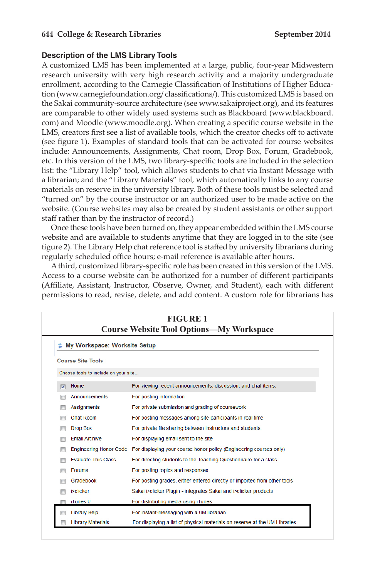## **Description of the LMS Library Tools**

A customized LMS has been implemented at a large, public, four-year Midwestern research university with very high research activity and a majority undergraduate enrollment, according to the Carnegie Classification of Institutions of Higher Education (www.carnegiefoundation.org/ classifications/). This customized LMS is based on the Sakai community-source architecture (see www.sakaiproject.org), and its features are comparable to other widely used systems such as Blackboard (www.blackboard. com) and Moodle (www.moodle.org). When creating a specific course website in the LMS, creators first see a list of available tools, which the creator checks off to activate (see figure 1). Examples of standard tools that can be activated for course websites include: Announcements, Assignments, Chat room, Drop Box, Forum, Gradebook, etc. In this version of the LMS, two library-specific tools are included in the selection list: the "Library Help" tool, which allows students to chat via Instant Message with a librarian; and the "Library Materials" tool, which automatically links to any course materials on reserve in the university library. Both of these tools must be selected and "turned on" by the course instructor or an authorized user to be made active on the website. (Course websites may also be created by student assistants or other support staff rather than by the instructor of record.)

Once these tools have been turned on, they appear embedded within the LMS course website and are available to students anytime that they are logged in to the site (see figure 2). The Library Help chat reference tool is staffed by university librarians during regularly scheduled office hours; e-mail reference is available after hours.

A third, customized library-specific role has been created in this version of the LMS. Access to a course website can be authorized for a number of different participants (Affiliate, Assistant, Instructor, Observe, Owner, and Student), each with different permissions to read, revise, delete, and add content. A custom role for librarians has

|                | <b>FIGURE 1</b><br><b>Course Website Tool Options-My Workspace</b> |                                                                            |  |  |  |  |  |  |
|----------------|--------------------------------------------------------------------|----------------------------------------------------------------------------|--|--|--|--|--|--|
|                | <b>My Workspace: Worksite Setup</b>                                |                                                                            |  |  |  |  |  |  |
|                | <b>Course Site Tools</b>                                           |                                                                            |  |  |  |  |  |  |
|                | Choose tools to include on your site                               |                                                                            |  |  |  |  |  |  |
| $\overline{v}$ | Home                                                               | For viewing recent announcements, discussion, and chat items.              |  |  |  |  |  |  |
|                | <b>Announcements</b>                                               | For posting information                                                    |  |  |  |  |  |  |
|                | Assignments                                                        | For private submission and grading of coursework                           |  |  |  |  |  |  |
|                | <b>Chat Room</b>                                                   | For posting messages among site participants in real time                  |  |  |  |  |  |  |
|                | <b>Drop Box</b>                                                    | For private file sharing between instructors and students                  |  |  |  |  |  |  |
|                | <b>Email Archive</b>                                               | For displaying email sent to the site                                      |  |  |  |  |  |  |
|                | <b>Engineering Honor Code</b>                                      | For displaying your course honor policy (Engineering courses only)         |  |  |  |  |  |  |
|                | <b>Evaluate This Class</b>                                         | For directing students to the Teaching Questionnaire for a class           |  |  |  |  |  |  |
|                | <b>Forums</b>                                                      | For posting topics and responses                                           |  |  |  |  |  |  |
|                | Gradebook                                                          | For posting grades, either entered directly or imported from other tools   |  |  |  |  |  |  |
|                | <b>i</b> >clicker                                                  | Sakai i>clicker Plugin - integrates Sakai and i>clicker products           |  |  |  |  |  |  |
|                | iTunes U                                                           | For distributing media using iTunes                                        |  |  |  |  |  |  |
|                | <b>Library Help</b>                                                | For instant-messaging with a UM librarian                                  |  |  |  |  |  |  |
|                | <b>Library Materials</b>                                           | For displaying a list of physical materials on reserve at the UM Libraries |  |  |  |  |  |  |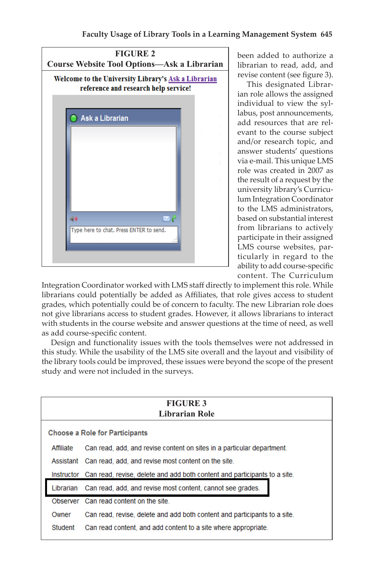

been added to authorize a librarian to read, add, and revise content (see figure 3).

This designated Librarian role allows the assigned individual to view the syllabus, post announcements, add resources that are relevant to the course subject and/or research topic, and answer students' questions via e-mail. This unique LMS role was created in 2007 as the result of a request by the university library's Curriculum Integration Coordinator to the LMS administrators, based on substantial interest from librarians to actively participate in their assigned LMS course websites, particularly in regard to the ability to add course-specific content. The Curriculum

Integration Coordinator worked with LMS staff directly to implement this role. While librarians could potentially be added as Affiliates, that role gives access to student grades, which potentially could be of concern to faculty. The new Librarian role does not give librarians access to student grades. However, it allows librarians to interact with students in the course website and answer questions at the time of need, as well as add course-specific content.

Design and functionality issues with the tools themselves were not addressed in this study. While the usability of the LMS site overall and the layout and visibility of the library tools could be improved, these issues were beyond the scope of the present study and were not included in the surveys.

| <b>FIGURE 3</b><br>Librarian Role     |                                                                                      |  |  |  |  |  |
|---------------------------------------|--------------------------------------------------------------------------------------|--|--|--|--|--|
| <b>Choose a Role for Participants</b> |                                                                                      |  |  |  |  |  |
| Affiliate                             | Can read, add, and revise content on sites in a particular department.               |  |  |  |  |  |
| Assistant                             | Can read, add, and revise most content on the site.                                  |  |  |  |  |  |
|                                       | Instructor Can read, revise, delete and add both content and participants to a site. |  |  |  |  |  |
| Librarian                             | Can read, add, and revise most content, cannot see grades.                           |  |  |  |  |  |
|                                       | Observer Can read content on the site                                                |  |  |  |  |  |
| Owner                                 | Can read, revise, delete and add both content and participants to a site.            |  |  |  |  |  |
| Student                               | Can read content, and add content to a site where appropriate.                       |  |  |  |  |  |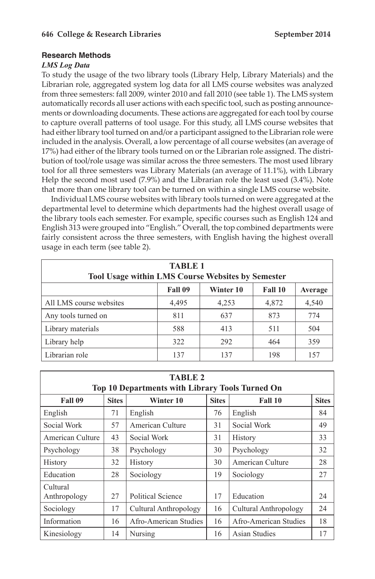## **Research Methods**

## *LMS Log Data*

To study the usage of the two library tools (Library Help, Library Materials) and the Librarian role, aggregated system log data for all LMS course websites was analyzed from three semesters: fall 2009, winter 2010 and fall 2010 (see table 1). The LMS system automatically records all user actions with each specific tool, such as posting announcements or downloading documents. These actions are aggregated for each tool by course to capture overall patterns of tool usage. For this study, all LMS course websites that had either library tool turned on and/or a participant assigned to the Librarian role were included in the analysis. Overall, a low percentage of all course websites (an average of 17%) had either of the library tools turned on or the Librarian role assigned. The distribution of tool/role usage was similar across the three semesters. The most used library tool for all three semesters was Library Materials (an average of 11.1%), with Library Help the second most used (7.9%) and the Librarian role the least used (3.4%). Note that more than one library tool can be turned on within a single LMS course website.

Individual LMS course websites with library tools turned on were aggregated at the departmental level to determine which departments had the highest overall usage of the library tools each semester. For example, specific courses such as English 124 and English 313 were grouped into "English." Overall, the top combined departments were fairly consistent across the three semesters, with English having the highest overall usage in each term (see table 2).

| <b>TABLE 1</b><br><b>Tool Usage within LMS Course Websites by Semester</b> |       |       |       |       |  |  |  |  |  |
|----------------------------------------------------------------------------|-------|-------|-------|-------|--|--|--|--|--|
| Winter 10<br>Fall 09<br>Fall 10<br>Average                                 |       |       |       |       |  |  |  |  |  |
| All LMS course websites                                                    | 4,495 | 4,253 | 4,872 | 4,540 |  |  |  |  |  |
| Any tools turned on                                                        | 811   | 637   | 873   | 774   |  |  |  |  |  |
| Library materials                                                          | 588   | 413   | 511   | 504   |  |  |  |  |  |
| Library help                                                               | 322   | 292   | 464   | 359   |  |  |  |  |  |
| Librarian role                                                             | 137   | 137   | 198   | 157   |  |  |  |  |  |

| <b>TABLE 2</b><br>Top 10 Departments with Library Tools Turned On |              |                       |              |                       |              |  |  |  |  |
|-------------------------------------------------------------------|--------------|-----------------------|--------------|-----------------------|--------------|--|--|--|--|
| Fall 09                                                           | <b>Sites</b> | Winter 10             | <b>Sites</b> | Fall 10               | <b>Sites</b> |  |  |  |  |
| English                                                           | 71           | English               | 76           | English               | 84           |  |  |  |  |
| Social Work                                                       | 57           | American Culture      | 31           | Social Work           | 49           |  |  |  |  |
| American Culture                                                  | 43           | Social Work           | 31           | History               | 33           |  |  |  |  |
| Psychology                                                        | 38           | Psychology            | 30           | Psychology            | 32           |  |  |  |  |
| History                                                           | 32           | History               | 30           | American Culture      | 28           |  |  |  |  |
| Education                                                         | 28           | Sociology             | 19           | Sociology             | 27           |  |  |  |  |
| Cultural                                                          |              |                       |              |                       |              |  |  |  |  |
| Anthropology                                                      | 27           | Political Science     | 17           | Education             | 24           |  |  |  |  |
| Sociology                                                         | 17           | Cultural Anthropology | 16           | Cultural Anthropology | 24           |  |  |  |  |
| Information                                                       | 16           | Afro-American Studies | 16           | Afro-American Studies | 18           |  |  |  |  |
| Kinesiology                                                       | 14           | Nursing               | 16           | Asian Studies         | 17           |  |  |  |  |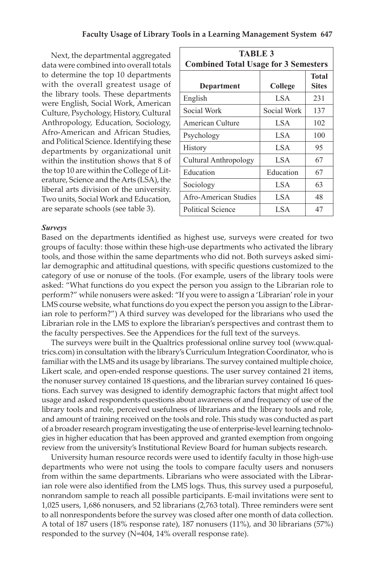Next, the departmental aggregated data were combined into overall totals to determine the top 10 departments with the overall greatest usage of the library tools. These departments were English, Social Work, American Culture, Psychology, History, Cultural Anthropology, Education, Sociology, Afro-American and African Studies, and Political Science. Identifying these departments by organizational unit within the institution shows that 8 of the top 10 are within the College of Literature, Science and the Arts (LSA), the liberal arts division of the university. Two units, Social Work and Education, are separate schools (see table 3).

| <b>TABLE 3</b><br><b>Combined Total Usage for 3 Semesters</b> |             |                       |  |  |  |  |  |
|---------------------------------------------------------------|-------------|-----------------------|--|--|--|--|--|
| Department                                                    | College     | Total<br><b>Sites</b> |  |  |  |  |  |
| English                                                       | LSA.        | 231                   |  |  |  |  |  |
| Social Work                                                   | Social Work | 137                   |  |  |  |  |  |
| American Culture                                              | LSA         | 102                   |  |  |  |  |  |
| Psychology                                                    | LSA         | 100                   |  |  |  |  |  |
| History                                                       | LSA         | 95                    |  |  |  |  |  |
| Cultural Anthropology                                         | LSA.        | 67                    |  |  |  |  |  |
| Education                                                     | Education   | 67                    |  |  |  |  |  |
| Sociology                                                     | LSA         | 63                    |  |  |  |  |  |
| Afro-American Studies                                         | LSA.        | 48                    |  |  |  |  |  |
| Political Science                                             | LSA         | 47                    |  |  |  |  |  |

#### *Surveys*

Based on the departments identified as highest use, surveys were created for two groups of faculty: those within these high-use departments who activated the library tools, and those within the same departments who did not. Both surveys asked similar demographic and attitudinal questions, with specific questions customized to the category of use or nonuse of the tools. (For example, users of the library tools were asked: "What functions do you expect the person you assign to the Librarian role to perform?" while nonusers were asked: "If you were to assign a 'Librarian' role in your LMS course website, what functions do you expect the person you assign to the Librarian role to perform?") A third survey was developed for the librarians who used the Librarian role in the LMS to explore the librarian's perspectives and contrast them to the faculty perspectives. See the Appendices for the full text of the surveys.

The surveys were built in the Qualtrics professional online survey tool (www.qualtrics.com) in consultation with the library's Curriculum Integration Coordinator, who is familiar with the LMS and its usage by librarians. The survey contained multiple choice, Likert scale, and open-ended response questions. The user survey contained 21 items, the nonuser survey contained 18 questions, and the librarian survey contained 16 questions. Each survey was designed to identify demographic factors that might affect tool usage and asked respondents questions about awareness of and frequency of use of the library tools and role, perceived usefulness of librarians and the library tools and role, and amount of training received on the tools and role. This study was conducted as part of a broader research program investigating the use of enterprise-level learning technologies in higher education that has been approved and granted exemption from ongoing review from the university's Institutional Review Board for human subjects research.

University human resource records were used to identify faculty in those high-use departments who were not using the tools to compare faculty users and nonusers from within the same departments. Librarians who were associated with the Librarian role were also identified from the LMS logs. Thus, this survey used a purposeful, nonrandom sample to reach all possible participants. E-mail invitations were sent to 1,025 users, 1,686 nonusers, and 52 librarians (2,763 total). Three reminders were sent to all nonrespondents before the survey was closed after one month of data collection. A total of 187 users (18% response rate), 187 nonusers (11%), and 30 librarians (57%) responded to the survey (N=404, 14% overall response rate).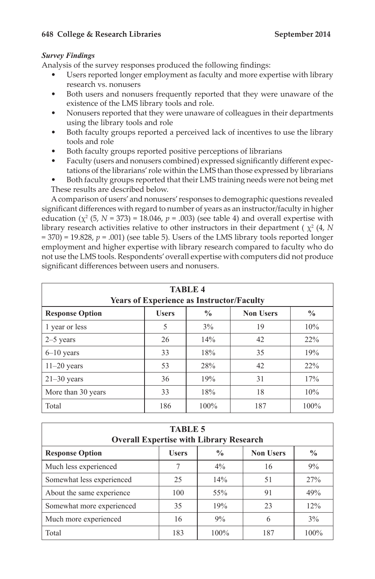## *Survey Findings*

Analysis of the survey responses produced the following findings:

- Users reported longer employment as faculty and more expertise with library research vs. nonusers
- Both users and nonusers frequently reported that they were unaware of the existence of the LMS library tools and role.
- Nonusers reported that they were unaware of colleagues in their departments using the library tools and role
- Both faculty groups reported a perceived lack of incentives to use the library tools and role
- Both faculty groups reported positive perceptions of librarians
- Faculty (users and nonusers combined) expressed significantly different expectations of the librarians' role within the LMS than those expressed by librarians

• Both faculty groups reported that their LMS training needs were not being met These results are described below.

A comparison of users' and nonusers' responses to demographic questions revealed significant differences with regard to number of years as an instructor/faculty in higher education  $(\chi^2 (5, N = 373) = 18.046, p = .003)$  (see table 4) and overall expertise with library research activities relative to other instructors in their department ( $\chi^2$  (4, *N*  $= 370$ ) = 19.828,  $p = .001$ ) (see table 5). Users of the LMS library tools reported longer employment and higher expertise with library research compared to faculty who do not use the LMS tools. Respondents' overall expertise with computers did not produce significant differences between users and nonusers.

| <b>TABLE 4</b><br><b>Years of Experience as Instructor/Faculty</b> |                                                                    |      |     |      |  |  |  |  |  |
|--------------------------------------------------------------------|--------------------------------------------------------------------|------|-----|------|--|--|--|--|--|
| <b>Response Option</b>                                             | $\frac{0}{0}$<br><b>Non Users</b><br>$\frac{0}{0}$<br><b>Users</b> |      |     |      |  |  |  |  |  |
| 1 year or less                                                     | 5                                                                  | 3%   | 19  | 10%  |  |  |  |  |  |
| $2-5$ years                                                        | 26                                                                 | 14%  | 42  | 22%  |  |  |  |  |  |
| $6 - 10$ years                                                     | 33                                                                 | 18%  | 35  | 19%  |  |  |  |  |  |
| $11-20$ years                                                      | 53                                                                 | 28%  | 42  | 22%  |  |  |  |  |  |
| $21-30$ years                                                      | 36                                                                 | 19%  | 31  | 17%  |  |  |  |  |  |
| More than 30 years                                                 | 33                                                                 | 18%  | 18  | 10%  |  |  |  |  |  |
| Total                                                              | 186                                                                | 100% | 187 | 100% |  |  |  |  |  |

| <b>TABLE 5</b><br><b>Overall Expertise with Library Research</b>                             |     |         |     |      |  |  |  |  |  |
|----------------------------------------------------------------------------------------------|-----|---------|-----|------|--|--|--|--|--|
| $\frac{0}{0}$<br><b>Non Users</b><br>$\frac{0}{0}$<br><b>Response Option</b><br><b>Users</b> |     |         |     |      |  |  |  |  |  |
| Much less experienced                                                                        | 7   | $4\%$   | 16  | 9%   |  |  |  |  |  |
| Somewhat less experienced                                                                    | 25  | 14%     | 51  | 27%  |  |  |  |  |  |
| About the same experience                                                                    | 100 | 55%     | 91  | 49%  |  |  |  |  |  |
| Somewhat more experienced                                                                    | 35  | 19%     | 23  | 12%  |  |  |  |  |  |
| Much more experienced                                                                        | 16  | 9%      | 6   | 3%   |  |  |  |  |  |
| Total                                                                                        | 183 | $100\%$ | 187 | 100% |  |  |  |  |  |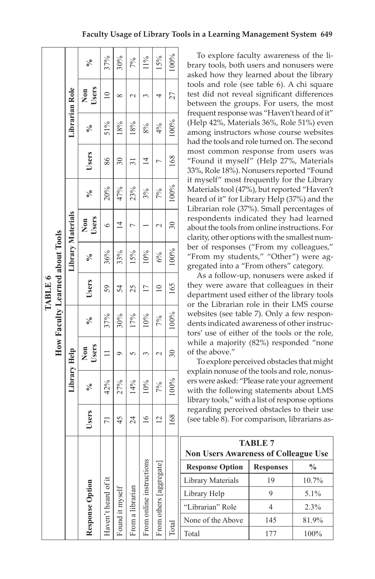100% 15% 37% 30% 11% Total 168 100% 30 100% 165 100% 30 100% 168 100% 27 100%Haven't heard of it a complete it is complete it in the set of the set of the set of it is post in the set of the set of  $79\%$ الكات المسلم المسلم المسلم المسلم المسلم المسلم المسلم المسلم المسلم المسلم المسلم المسلم المسلم المسلم المسلم 7% From online instructions 16 10% 3 10% 17 10% 1 3% 14 8% 3 11% From others [aggregate] 12 7% 2 7% 2 7% 2 7% 2 7% 2 7 7 4% 4 4 15% **%**From a librarian  $24$  14% 1  $5$  17% 1  $29$  15% 1  $29$  1  $29$  1  $29$  1  $31$  1  $89$  1  $29$  1  $29$  **Non Users TABLE 6 How Faculty Learned about Tools Library Help Library Materials Librarian Role** Librarian Role  $\overline{10}$ 27  $\infty$  $\sim$  $\infty$ 4 100% 51% 18% 18%  $8%$  $4%$ **%**Users **Users** 168 86  $30\,$  $\overline{31}$  $\overline{4}$  $\overline{C}$ 100% 20% 47% 23%  $3%$ 7% **%Library Materials Non Users**  $\overline{4}$  $\overline{\omega}$  $\circ$  $\overline{C}$  $\sim$ How Faculty Learned about Tools 100% 36% 33% 15%  $10%$ 6% **%**TABLE 6 Users **Users** 165  $\supseteq$ 59 54 25  $\overline{17}$ 100% 37%  $30%$  $7\%$  $0\%$ 7% **% Non Users** Library Help  $\overline{50}$  $\equiv$  $\circ$  $\overline{S}$  $\infty$  $\overline{\mathcal{C}}$ 100% 42% 27% 14% 10% 7% **%**Users **Response Option Users** 168  $\overline{7}$  $45$  $\overline{24}$  $\overline{16}$  $\overline{C}$ rom online instructions From others [aggregate] Haven't heard of it **Response Option** Found it myself From a librarian Total

To explore faculty awareness of the library tools, both users and nonusers were asked how they learned about the library tools and role (see table 6). A chi square test did not reveal significant differences between the groups. For users, the most frequent response was "Haven't heard of it" (Help 42%, Materials 36%, Role 51%) even among instructors whose course websites had the tools and role turned on. The second most common response from users was "Found it myself" (Help 27%, Materials 33%, Role 18%). Nonusers reported "Found it myself" most frequently for the Library Materials tool (47%), but reported "Haven't heard of it" for Library Help (37%) and the Librarian role (37%). Small percentages of respondents indicated they had learned about the tools from online instructions. For clarity, other options with the smallest number of responses ("From my colleagues," "From my students," "Other") were aggregated into a "From others" category.

As a follow-up, nonusers were asked if they were aware that colleagues in their department used either of the library tools or the Librarian role in their LMS course websites (see table 7). Only a few respondents indicated awareness of other instructors' use of either of the tools or the role, while a majority (82%) responded "none of the above."

To explore perceived obstacles that might explain nonuse of the tools and role, nonusers were asked: "Please rate your agreement with the following statements about LMS library tools," with a list of response options regarding perceived obstacles to their use (see table 8). For comparison, librarians as-

| TABLE 7<br><b>Non Users Awareness of Colleague Use</b>      |     |         |  |  |  |  |
|-------------------------------------------------------------|-----|---------|--|--|--|--|
| <b>Response Option</b><br>$\frac{0}{0}$<br><b>Responses</b> |     |         |  |  |  |  |
| Library Materials                                           | 19  | 10.7%   |  |  |  |  |
| Library Help                                                | 9   | $5.1\%$ |  |  |  |  |
| "Librarian" Role                                            |     | 2.3%    |  |  |  |  |
| None of the Above                                           | 145 | 81.9%   |  |  |  |  |
| Total                                                       | 177 | 100%    |  |  |  |  |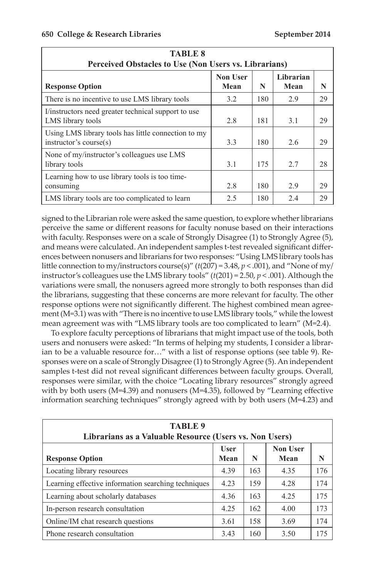| <b>TABLE 8</b>                                                                   |                         |     |                   |    |  |  |  |
|----------------------------------------------------------------------------------|-------------------------|-----|-------------------|----|--|--|--|
| Perceived Obstacles to Use (Non Users vs. Librarians)                            |                         |     |                   |    |  |  |  |
| <b>Response Option</b>                                                           | <b>Non User</b><br>Mean | N   | Librarian<br>Mean | N  |  |  |  |
| There is no incentive to use LMS library tools                                   | 3.2                     | 180 | 2.9               | 29 |  |  |  |
| I/instructors need greater technical support to use<br>LMS library tools         | 2.8                     | 181 | 3.1               | 29 |  |  |  |
| Using LMS library tools has little connection to my<br>instructor's course $(s)$ | 3.3                     | 180 | 2.6               | 29 |  |  |  |
| None of my/instructor's colleagues use LMS<br>library tools                      | 3.1                     | 175 | 2.7               | 28 |  |  |  |
| Learning how to use library tools is too time-<br>consuming                      | 2.8                     | 180 | 2.9               | 29 |  |  |  |
| LMS library tools are too complicated to learn                                   | 2.5                     | 180 | 2.4               | 29 |  |  |  |

signed to the Librarian role were asked the same question, to explore whether librarians perceive the same or different reasons for faculty nonuse based on their interactions with faculty. Responses were on a scale of Strongly Disagree (1) to Strongly Agree (5), and means were calculated. An independent samples t-test revealed significant differences between nonusers and librarians for two responses: "Using LMS library tools has little connection to my/instructors course(s)" (*t*(207) = 3.48, *p* < .001), and "None of my/ instructor's colleagues use the LMS library tools" (*t*(201) = 2.50, *p* < .001). Although the variations were small, the nonusers agreed more strongly to both responses than did the librarians, suggesting that these concerns are more relevant for faculty. The other response options were not significantly different. The highest combined mean agreement (M=3.1) was with "There is no incentive to use LMS library tools," while the lowest mean agreement was with "LMS library tools are too complicated to learn" (M=2.4).

To explore faculty perceptions of librarians that might impact use of the tools, both users and nonusers were asked: "In terms of helping my students, I consider a librarian to be a valuable resource for…" with a list of response options (see table 9). Responses were on a scale of Strongly Disagree (1) to Strongly Agree (5). An independent samples t-test did not reveal significant differences between faculty groups. Overall, responses were similar, with the choice "Locating library resources" strongly agreed with by both users  $(M=4.39)$  and nonusers  $(M=4.35)$ , followed by "Learning effective information searching techniques" strongly agreed with by both users (M=4.23) and

| <b>TABLE 9</b><br>Librarians as a Valuable Resource (Users vs. Non Users)          |      |     |      |     |  |  |  |  |
|------------------------------------------------------------------------------------|------|-----|------|-----|--|--|--|--|
| <b>Non User</b><br><b>User</b><br><b>Response Option</b><br>Mean<br>Mean<br>N<br>N |      |     |      |     |  |  |  |  |
| Locating library resources                                                         | 4.39 | 163 | 4.35 | 176 |  |  |  |  |
| Learning effective information searching techniques                                | 4.23 | 159 | 4.28 | 174 |  |  |  |  |
| Learning about scholarly databases                                                 | 4.36 | 163 | 4.25 | 175 |  |  |  |  |
| In-person research consultation                                                    | 4.25 | 162 | 4.00 | 173 |  |  |  |  |
| Online/IM chat research questions                                                  | 3.61 | 158 | 3.69 | 174 |  |  |  |  |
| Phone research consultation                                                        | 3.43 | 160 | 3.50 | 175 |  |  |  |  |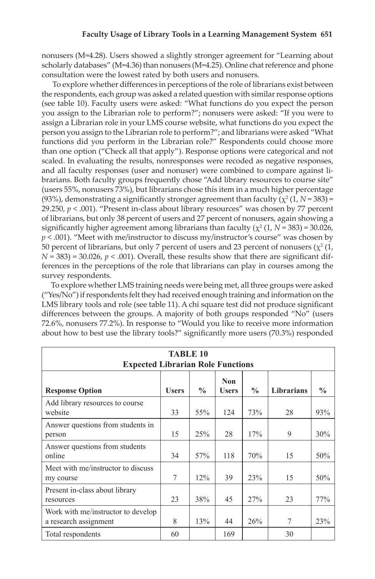nonusers (M=4.28). Users showed a slightly stronger agreement for "Learning about scholarly databases" (M=4.36) than nonusers (M=4.25). Online chat reference and phone consultation were the lowest rated by both users and nonusers.

 To explore whether differences in perceptions of the role of librarians exist between the respondents, each group was asked a related question with similar response options (see table 10). Faculty users were asked: "What functions do you expect the person you assign to the Librarian role to perform?"; nonusers were asked: "If you were to assign a Librarian role in your LMS course website, what functions do you expect the person you assign to the Librarian role to perform?"; and librarians were asked "What functions did you perform in the Librarian role?" Respondents could choose more than one option ("Check all that apply"). Response options were categorical and not scaled. In evaluating the results, nonresponses were recoded as negative responses, and all faculty responses (user and nonuser) were combined to compare against librarians. Both faculty groups frequently chose "Add library resources to course site" (users 55%, nonusers 73%), but librarians chose this item in a much higher percentage (93%), demonstrating a significantly stronger agreement than faculty  $(\chi^2(1, N = 383))$  = 29.250, *p* < .001). "Present in-class about library resources" was chosen by 77 percent of librarians, but only 38 percent of users and 27 percent of nonusers, again showing a significantly higher agreement among librarians than faculty  $(\chi^2(1, N = 383) = 30.026$ ,  $p < .001$ ). "Meet with me/instructor to discuss my/instructor's course" was chosen by 50 percent of librarians, but only 7 percent of users and 23 percent of nonusers ( $\chi^2$  (1,  $N = 383$ ) = 30.026,  $p < .001$ ). Overall, these results show that there are significant differences in the perceptions of the role that librarians can play in courses among the survey respondents.

To explore whether LMS training needs were being met, all three groups were asked ("Yes/No") if respondents felt they had received enough training and information on the LMS library tools and role (see table 11). A chi square test did not produce significant differences between the groups. A majority of both groups responded "No" (users 72.6%, nonusers 77.2%). In response to "Would you like to receive more information about how to best use the library tools?" significantly more users (70.3%) responded

| TABLE 10<br><b>Expected Librarian Role Functions</b>        |              |               |                            |               |                   |               |  |  |
|-------------------------------------------------------------|--------------|---------------|----------------------------|---------------|-------------------|---------------|--|--|
| <b>Response Option</b>                                      | <b>Users</b> | $\frac{0}{0}$ | <b>Non</b><br><b>Users</b> | $\frac{0}{0}$ | <b>Librarians</b> | $\frac{0}{0}$ |  |  |
| Add library resources to course<br>website                  | 33           | 55%           | 124                        | 73%           | 28                | 93%           |  |  |
| Answer questions from students in<br>person                 | 15           | 25%           | 28                         | 17%           | 9                 | 30%           |  |  |
| Answer questions from students<br>online                    | 34           | 57%           | 118                        | 70%           | 15                | 50%           |  |  |
| Meet with me/instructor to discuss<br>my course             | 7            | 12%           | 39                         | 23%           | 15                | 50%           |  |  |
| Present in-class about library<br>resources                 | 23           | 38%           | 45                         | 27%           | 23                | 77%           |  |  |
| Work with me/instructor to develop<br>a research assignment | 8            | 13%           | 44                         | 26%           | 7                 | 23%           |  |  |
| Total respondents                                           | 60           |               | 169                        |               | 30                |               |  |  |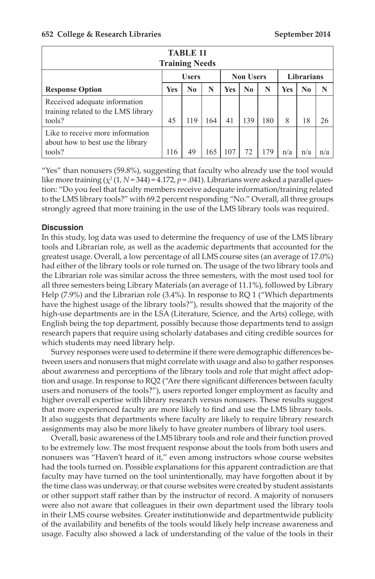| TABLE 11<br><b>Training Needs</b>                                               |     |     |     |            |          |     |            |                |     |
|---------------------------------------------------------------------------------|-----|-----|-----|------------|----------|-----|------------|----------------|-----|
| <b>Librarians</b><br><b>Users</b><br><b>Non Users</b>                           |     |     |     |            |          |     |            |                |     |
| <b>Response Option</b>                                                          | Yes | No  | N   | <b>Yes</b> | $\bf No$ | N   | <b>Yes</b> | N <sub>0</sub> | N   |
| Received adequate information<br>training related to the LMS library<br>tools?  | 45  | 119 | 164 | 41         | 139      | 180 | 8          | 18             | 26  |
| Like to receive more information<br>about how to best use the library<br>tools? | 116 | 49  | .65 | 107        |          | 179 | n/a        | n/a            | n/a |

"Yes" than nonusers (59.8%), suggesting that faculty who already use the tool would like more training ( $\chi^2$  (1, *N* = 344) = 4.172, *p* = .041). Librarians were asked a parallel question: "Do you feel that faculty members receive adequate information/training related to the LMS library tools?" with 69.2 percent responding "No." Overall, all three groups strongly agreed that more training in the use of the LMS library tools was required.

## **Discussion**

In this study, log data was used to determine the frequency of use of the LMS library tools and Librarian role, as well as the academic departments that accounted for the greatest usage. Overall, a low percentage of all LMS course sites (an average of 17.0%) had either of the library tools or role turned on. The usage of the two library tools and the Librarian role was similar across the three semesters, with the most used tool for all three semesters being Library Materials (an average of 11.1%), followed by Library Help (7.9%) and the Librarian role (3.4%). In response to RQ 1 ("Which departments have the highest usage of the library tools?"), results showed that the majority of the high-use departments are in the LSA (Literature, Science, and the Arts) college, with English being the top department, possibly because those departments tend to assign research papers that require using scholarly databases and citing credible sources for which students may need library help.

Survey responses were used to determine if there were demographic differences between users and nonusers that might correlate with usage and also to gather responses about awareness and perceptions of the library tools and role that might affect adoption and usage. In response to RQ2 ("Are there significant differences between faculty users and nonusers of the tools?"), users reported longer employment as faculty and higher overall expertise with library research versus nonusers. These results suggest that more experienced faculty are more likely to find and use the LMS library tools. It also suggests that departments where faculty are likely to require library research assignments may also be more likely to have greater numbers of library tool users.

Overall, basic awareness of the LMS library tools and role and their function proved to be extremely low. The most frequent response about the tools from both users and nonusers was "Haven't heard of it," even among instructors whose course websites had the tools turned on. Possible explanations for this apparent contradiction are that faculty may have turned on the tool unintentionally, may have forgotten about it by the time class was underway, or that course websites were created by student assistants or other support staff rather than by the instructor of record. A majority of nonusers were also not aware that colleagues in their own department used the library tools in their LMS course websites. Greater institutionwide and departmentwide publicity of the availability and benefits of the tools would likely help increase awareness and usage. Faculty also showed a lack of understanding of the value of the tools in their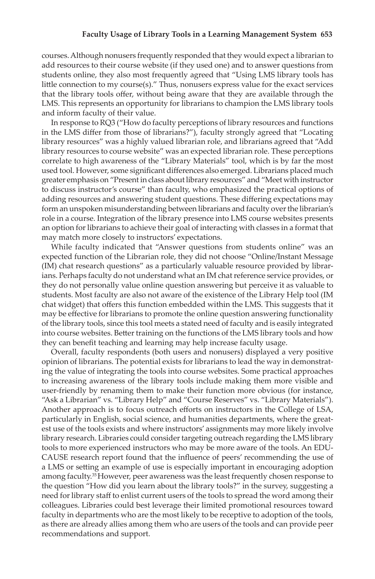courses. Although nonusers frequently responded that they would expect a librarian to add resources to their course website (if they used one) and to answer questions from students online, they also most frequently agreed that "Using LMS library tools has little connection to my course(s)." Thus, nonusers express value for the exact services that the library tools offer, without being aware that they are available through the LMS. This represents an opportunity for librarians to champion the LMS library tools and inform faculty of their value.

In response to RQ3 ("How do faculty perceptions of library resources and functions in the LMS differ from those of librarians?"), faculty strongly agreed that "Locating library resources" was a highly valued librarian role, and librarians agreed that "Add library resources to course website" was an expected librarian role. These perceptions correlate to high awareness of the "Library Materials" tool, which is by far the most used tool. However, some significant differences also emerged. Librarians placed much greater emphasis on "Present in class about library resources" and "Meet with instructor to discuss instructor's course" than faculty, who emphasized the practical options of adding resources and answering student questions. These differing expectations may form an unspoken misunderstanding between librarians and faculty over the librarian's role in a course. Integration of the library presence into LMS course websites presents an option for librarians to achieve their goal of interacting with classes in a format that may match more closely to instructors' expectations.

While faculty indicated that "Answer questions from students online" was an expected function of the Librarian role, they did not choose "Online/Instant Message (IM) chat research questions" as a particularly valuable resource provided by librarians. Perhaps faculty do not understand what an IM chat reference service provides, or they do not personally value online question answering but perceive it as valuable to students. Most faculty are also not aware of the existence of the Library Help tool (IM chat widget) that offers this function embedded within the LMS. This suggests that it may be effective for librarians to promote the online question answering functionality of the library tools, since this tool meets a stated need of faculty and is easily integrated into course websites. Better training on the functions of the LMS library tools and how they can benefit teaching and learning may help increase faculty usage.

Overall, faculty respondents (both users and nonusers) displayed a very positive opinion of librarians. The potential exists for librarians to lead the way in demonstrating the value of integrating the tools into course websites. Some practical approaches to increasing awareness of the library tools include making them more visible and user-friendly by renaming them to make their function more obvious (for instance, "Ask a Librarian" vs. "Library Help" and "Course Reserves" vs. "Library Materials"). Another approach is to focus outreach efforts on instructors in the College of LSA, particularly in English, social science, and humanities departments, where the greatest use of the tools exists and where instructors' assignments may more likely involve library research. Libraries could consider targeting outreach regarding the LMS library tools to more experienced instructors who may be more aware of the tools. An EDU-CAUSE research report found that the influence of peers' recommending the use of a LMS or setting an example of use is especially important in encouraging adoption among faculty.<sup>35</sup> However, peer awareness was the least frequently chosen response to the question "How did you learn about the library tools?" in the survey, suggesting a need for library staff to enlist current users of the tools to spread the word among their colleagues. Libraries could best leverage their limited promotional resources toward faculty in departments who are the most likely to be receptive to adoption of the tools, as there are already allies among them who are users of the tools and can provide peer recommendations and support.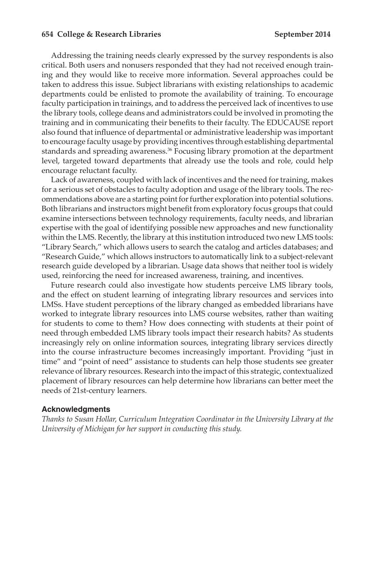#### **654 College & Research Libraries September 2014**

Addressing the training needs clearly expressed by the survey respondents is also critical. Both users and nonusers responded that they had not received enough training and they would like to receive more information. Several approaches could be taken to address this issue. Subject librarians with existing relationships to academic departments could be enlisted to promote the availability of training. To encourage faculty participation in trainings, and to address the perceived lack of incentives to use the library tools, college deans and administrators could be involved in promoting the training and in communicating their benefits to their faculty. The EDUCAUSE report also found that influence of departmental or administrative leadership was important to encourage faculty usage by providing incentives through establishing departmental standards and spreading awareness.<sup>36</sup> Focusing library promotion at the department level, targeted toward departments that already use the tools and role, could help encourage reluctant faculty.

Lack of awareness, coupled with lack of incentives and the need for training, makes for a serious set of obstacles to faculty adoption and usage of the library tools. The recommendations above are a starting point for further exploration into potential solutions. Both librarians and instructors might benefit from exploratory focus groups that could examine intersections between technology requirements, faculty needs, and librarian expertise with the goal of identifying possible new approaches and new functionality within the LMS. Recently, the library at this institution introduced two new LMS tools: "Library Search," which allows users to search the catalog and articles databases; and "Research Guide," which allows instructors to automatically link to a subject-relevant research guide developed by a librarian. Usage data shows that neither tool is widely used, reinforcing the need for increased awareness, training, and incentives.

Future research could also investigate how students perceive LMS library tools, and the effect on student learning of integrating library resources and services into LMSs. Have student perceptions of the library changed as embedded librarians have worked to integrate library resources into LMS course websites, rather than waiting for students to come to them? How does connecting with students at their point of need through embedded LMS library tools impact their research habits? As students increasingly rely on online information sources, integrating library services directly into the course infrastructure becomes increasingly important. Providing "just in time" and "point of need" assistance to students can help those students see greater relevance of library resources. Research into the impact of this strategic, contextualized placement of library resources can help determine how librarians can better meet the needs of 21st-century learners.

#### **Acknowledgments**

*Thanks to Susan Hollar, Curriculum Integration Coordinator in the University Library at the University of Michigan for her support in conducting this study.*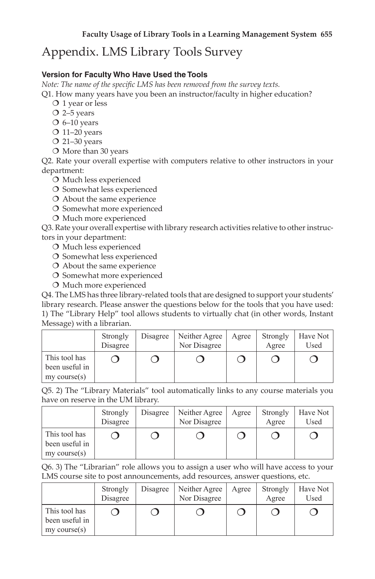## Appendix. LMS Library Tools Survey

## **Version for Faculty Who Have Used the Tools**

*Note: The name of the specific LMS has been removed from the survey texts.*

Q1. How many years have you been an instructor/faculty in higher education?

- O 1 year or less
- $O$  2–5 years
- $O$  6–10 years
- $O$  11–20 years
- 21–30 years
- O More than 30 years

Q2. Rate your overall expertise with computers relative to other instructors in your department:

- Much less experienced
- O Somewhat less experienced
- O About the same experience
- O Somewhat more experienced
- O Much more experienced

Q3. Rate your overall expertise with library research activities relative to other instructors in your department:

- Much less experienced
- O Somewhat less experienced
- O About the same experience
- O Somewhat more experienced
- O Much more experienced

Q4. The LMS has three library-related tools that are designed to support your students' library research. Please answer the questions below for the tools that you have used: 1) The "Library Help" tool allows students to virtually chat (in other words, Instant Message) with a librarian.

|                                                 | Strongly<br>Disagree | Disagree | Neither Agree<br>Nor Disagree | Agree | Strongly<br>Agree | Have Not<br>Used |
|-------------------------------------------------|----------------------|----------|-------------------------------|-------|-------------------|------------------|
| This tool has<br>been useful in<br>my course(s) |                      |          |                               |       |                   |                  |

Q5. 2) The "Library Materials" tool automatically links to any course materials you have on reserve in the UM library.

|                                                 | Strongly<br>Disagree | Disagree | Neither Agree<br>Nor Disagree | Agree | Strongly<br>Agree | Have Not<br>Used |
|-------------------------------------------------|----------------------|----------|-------------------------------|-------|-------------------|------------------|
| This tool has<br>been useful in<br>my course(s) |                      |          |                               |       |                   |                  |

Q6. 3) The "Librarian" role allows you to assign a user who will have access to your LMS course site to post announcements, add resources, answer questions, etc.

|                                                 | Strongly<br>Disagree | Disagree | Neither Agree<br>Nor Disagree | Agree | Strongly<br>Agree | Have Not<br>Used |
|-------------------------------------------------|----------------------|----------|-------------------------------|-------|-------------------|------------------|
| This tool has<br>been useful in<br>my course(s) |                      |          |                               |       |                   |                  |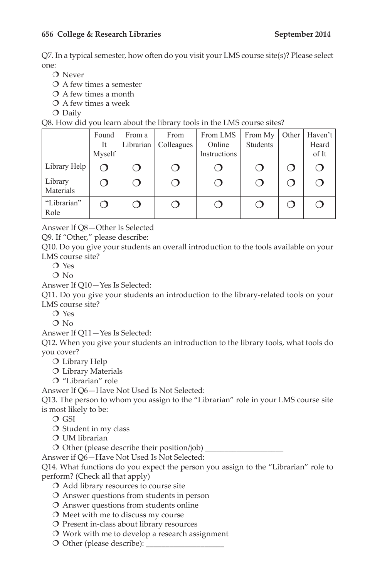Q7. In a typical semester, how often do you visit your LMS course site(s)? Please select one:

- Never
- A few times a semester
- A few times a month
- A few times a week
- O Daily

Q8. How did you learn about the library tools in the LMS course sites?

|                      | Found<br>It<br>Myself | From a<br>Librarian | From<br>Colleagues | From LMS<br>Online<br>Instructions | From My<br><b>Students</b> | Other | Haven't<br>Heard<br>of It |
|----------------------|-----------------------|---------------------|--------------------|------------------------------------|----------------------------|-------|---------------------------|
| Library Help         |                       |                     |                    |                                    |                            |       |                           |
| Library<br>Materials | $\lambda$             | ◯                   |                    |                                    |                            |       |                           |
| "Librarian"<br>Role  | Э                     | ∩                   |                    |                                    |                            |       |                           |

Answer If Q8—Other Is Selected

Q9. If "Other," please describe:

Q10. Do you give your students an overall introduction to the tools available on your LMS course site?

Yes

O No

Answer If Q10—Yes Is Selected:

Q11. Do you give your students an introduction to the library-related tools on your LMS course site?

- $\Omega$  Yes
- $O$  No

Answer If Q11—Yes Is Selected:

Q12. When you give your students an introduction to the library tools, what tools do you cover?

- Library Help
- O Library Materials
- O "Librarian" role

Answer If Q6—Have Not Used Is Not Selected:

Q13. The person to whom you assign to the "Librarian" role in your LMS course site is most likely to be:

 $O$  GSI

O Student in my class

UM librarian

 $\overline{O}$  Other (please describe their position/job)  $\overline{\phantom{O}}$ 

Answer if Q6—Have Not Used Is Not Selected:

Q14. What functions do you expect the person you assign to the "Librarian" role to perform? (Check all that apply)

- O Add library resources to course site
- Answer questions from students in person
- Answer questions from students online
- $O$  Meet with me to discuss my course
- O Present in-class about library resources
- Work with me to develop a research assignment
- O Other (please describe):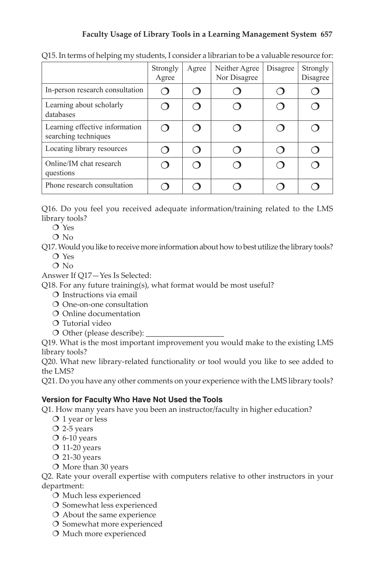|                                                        | Strongly<br>Agree | Agree | Neither Agree<br>Nor Disagree | Disagree | Strongly<br>Disagree |
|--------------------------------------------------------|-------------------|-------|-------------------------------|----------|----------------------|
| In-person research consultation                        |                   |       |                               |          |                      |
| Learning about scholarly<br>databases                  |                   |       |                               |          |                      |
| Learning effective information<br>searching techniques |                   |       |                               |          |                      |
| Locating library resources                             |                   |       |                               |          |                      |
| Online/IM chat research<br>questions                   |                   |       |                               |          |                      |
| Phone research consultation                            |                   |       |                               |          |                      |

Q15. In terms of helping my students, I consider a librarian to be a valuable resource for:

Q16. Do you feel you received adequate information/training related to the LMS library tools?

Yes

 $O$  No

Q17. Would you like to receive more information about how to best utilize the library tools?

Yes

 $\Omega$  No

Answer If Q17—Yes Is Selected:

Q18. For any future training(s), what format would be most useful?

- Instructions via email
- One-on-one consultation
- Online documentation
- Tutorial video
- $\overline{O}$  Other (please describe):

Q19. What is the most important improvement you would make to the existing LMS library tools?

Q20. What new library-related functionality or tool would you like to see added to the LMS?

Q21. Do you have any other comments on your experience with the LMS library tools?

## **Version for Faculty Who Have Not Used the Tools**

Q1. How many years have you been an instructor/faculty in higher education?

- O 1 year or less
- $O$  2-5 years
- $\circ$  6-10 years
- $O$  11-20 years
- 21-30 years
- O More than 30 years

Q2. Rate your overall expertise with computers relative to other instructors in your department:

- O Much less experienced
- O Somewhat less experienced
- About the same experience
- O Somewhat more experienced
- O Much more experienced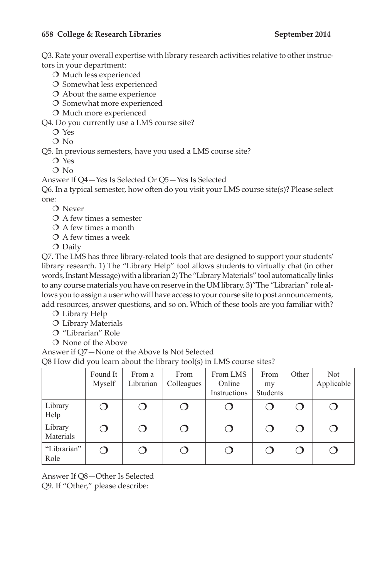## **658 College & Research Libraries September 2014**

Q3. Rate your overall expertise with library research activities relative to other instructors in your department:

- Much less experienced
- O Somewhat less experienced
- O About the same experience
- O Somewhat more experienced
- O Much more experienced

Q4. Do you currently use a LMS course site?

- Yes
- $\Omega$  No

Q5. In previous semesters, have you used a LMS course site?

- Yes
- $\Omega$  No

Answer If Q4—Yes Is Selected Or Q5—Yes Is Selected

Q6. In a typical semester, how often do you visit your LMS course site(s)? Please select one:

- O Never
- A few times a semester
- A few times a month
- A few times a week
- $\bigcirc$  Daily

Q7. The LMS has three library-related tools that are designed to support your students' library research. 1) The "Library Help" tool allows students to virtually chat (in other words, Instant Message) with a librarian 2) The "Library Materials" tool automatically links to any course materials you have on reserve in the UM library. 3)"The "Librarian" role allows you to assign a user who will have access to your course site to post announcements, add resources, answer questions, and so on. Which of these tools are you familiar with?

- Library Help
- O Library Materials
- O "Librarian" Role
- O None of the Above

Answer if Q7—None of the Above Is Not Selected

Q8 How did you learn about the library tool(s) in LMS course sites?

|                      | Found It<br>Myself | From a<br>Librarian | From<br>Colleagues | From LMS<br>Online<br>Instructions | From<br>my<br><b>Students</b> | Other | Not<br>Applicable |
|----------------------|--------------------|---------------------|--------------------|------------------------------------|-------------------------------|-------|-------------------|
| Library<br>Help      | ◯                  | ◯                   | ◯                  | $\bigcirc$                         | C)                            | ⌒     |                   |
| Library<br>Materials | ◯                  |                     |                    | O                                  |                               |       |                   |
| "Librarian"<br>Role  | ⌒                  |                     | $\lambda$          | ⌒                                  | ∩                             |       |                   |

Answer If Q8—Other Is Selected Q9. If "Other," please describe: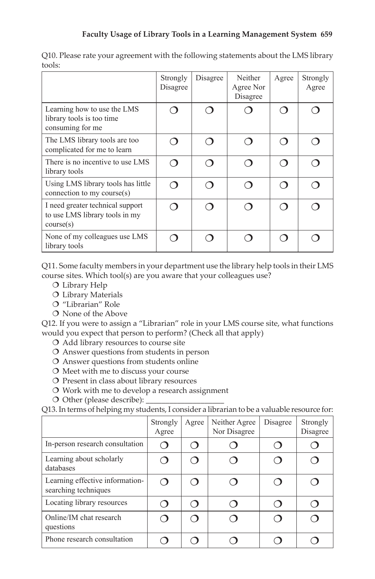|                                                                                 | Strongly<br>Disagree | Disagree | Neither<br>Agree Nor<br>Disagree | Agree              | Strongly<br>Agree |
|---------------------------------------------------------------------------------|----------------------|----------|----------------------------------|--------------------|-------------------|
| Learning how to use the LMS<br>library tools is too time<br>consuming for me    |                      |          |                                  | ◯                  |                   |
| The LMS library tools are too<br>complicated for me to learn                    |                      |          |                                  | $\cap$             |                   |
| There is no incentive to use LMS<br>library tools                               |                      |          |                                  | $\curvearrowright$ |                   |
| Using LMS library tools has little<br>connection to $my$ course $(s)$           | ◠                    |          |                                  | ∩                  |                   |
| I need greater technical support<br>to use LMS library tools in my<br>course(s) |                      |          |                                  | ⌒                  |                   |
| None of my colleagues use LMS<br>library tools                                  |                      |          |                                  | ⌒                  |                   |

Q10. Please rate your agreement with the following statements about the LMS library tools:

Q11. Some faculty members in your department use the library help tools in their LMS course sites. Which tool(s) are you aware that your colleagues use?

- O Library Help
- O Library Materials
- O "Librarian" Role
- O None of the Above

Q12. If you were to assign a "Librarian" role in your LMS course site, what functions would you expect that person to perform? (Check all that apply)

- Add library resources to course site
- Answer questions from students in person
- Answer questions from students online
- $O$  Meet with me to discuss your course
- O Present in class about library resources
- Work with me to develop a research assignment
- $\bigcirc$  Other (please describe):

Q13. In terms of helping my students, I consider a librarian to be a valuable resource for:

|                                                         | Strongly<br>Agree | Agree | Neither Agree<br>Nor Disagree | Disagree | Strongly<br>Disagree |
|---------------------------------------------------------|-------------------|-------|-------------------------------|----------|----------------------|
| In-person research consultation                         |                   |       |                               |          |                      |
| Learning about scholarly<br>databases                   |                   |       |                               |          |                      |
| Learning effective information-<br>searching techniques |                   |       |                               |          |                      |
| Locating library resources                              |                   |       |                               |          |                      |
| Online/IM chat research<br>questions                    |                   |       |                               |          |                      |
| Phone research consultation                             |                   |       |                               |          |                      |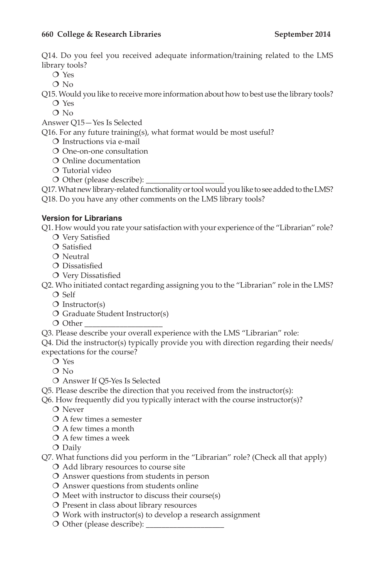Q14. Do you feel you received adequate information/training related to the LMS library tools?

Yes

O No

Q15. Would you like to receive more information about how to best use the library tools?

- Yes
- $\Omega$  No

Answer Q15—Yes Is Selected

Q16. For any future training(s), what format would be most useful?

- Instructions via e-mail
- One-on-one consultation
- Online documentation
- Tutorial video
- $\bigcirc$  Other (please describe):

Q17. What new library-related functionality or tool would you like to see added to the LMS? Q18. Do you have any other comments on the LMS library tools?

## **Version for Librarians**

Q1. How would you rate your satisfaction with your experience of the "Librarian" role?

- O Very Satisfied
- O Satisfied
- O Neutral
- Dissatisfied
- Very Dissatisfied

Q2. Who initiated contact regarding assigning you to the "Librarian" role in the LMS?

- O Self
- $O$  Instructor(s)
- Graduate Student Instructor(s)
- Other \_\_\_\_\_\_\_\_\_\_\_\_\_\_\_\_\_\_\_\_

Q3. Please describe your overall experience with the LMS "Librarian" role:

Q4. Did the instructor(s) typically provide you with direction regarding their needs/ expectations for the course?

- Yes
- $\Omega$  No
- Answer If Q5-Yes Is Selected
- Q5. Please describe the direction that you received from the instructor(s):
- Q6. How frequently did you typically interact with the course instructor(s)?
	- O Never
	- A few times a semester
	- A few times a month
	- A few times a week

 $\bigcirc$  Daily

Q7. What functions did you perform in the "Librarian" role? (Check all that apply)

- O Add library resources to course site
- Answer questions from students in person
- Answer questions from students online
- $O$  Meet with instructor to discuss their course(s)
- O Present in class about library resources
- $\overline{O}$  Work with instructor(s) to develop a research assignment
- Other (please describe): \_\_\_\_\_\_\_\_\_\_\_\_\_\_\_\_\_\_\_\_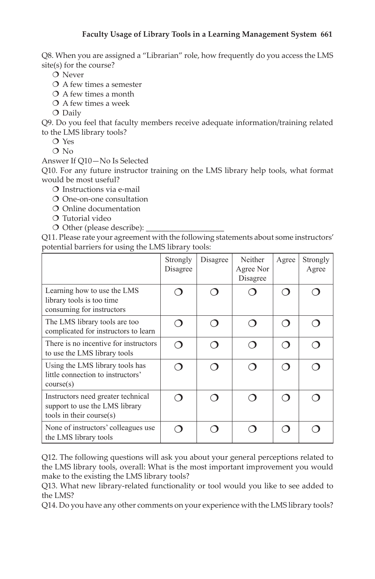Q8. When you are assigned a "Librarian" role, how frequently do you access the LMS site(s) for the course?

- O Never
- A few times a semester
- A few times a month
- A few times a week
- O Daily

Q9. Do you feel that faculty members receive adequate information/training related to the LMS library tools?

- $\Omega$  Yes
- $O$  No

Answer If Q10—No Is Selected

Q10. For any future instructor training on the LMS library help tools, what format would be most useful?

- Instructions via e-mail
- One-on-one consultation
- Online documentation
- Tutorial video
- $\bigcirc$  Other (please describe):

Q11. Please rate your agreement with the following statements about some instructors' potential barriers for using the LMS library tools:

|                                                                                                     | Strongly<br>Disagree | Disagree  | Neither<br>Agree Nor<br>Disagree | Agree  | Strongly<br>Agree |
|-----------------------------------------------------------------------------------------------------|----------------------|-----------|----------------------------------|--------|-------------------|
| Learning how to use the LMS<br>library tools is too time<br>consuming for instructors               |                      | $\bigcap$ |                                  | ◯      |                   |
| The LMS library tools are too<br>complicated for instructors to learn                               |                      | ◠         |                                  |        |                   |
| There is no incentive for instructors<br>to use the LMS library tools                               |                      |           |                                  |        |                   |
| Using the LMS library tools has<br>little connection to instructors'<br>course(s)                   |                      | ⌒         |                                  | $\cap$ |                   |
| Instructors need greater technical<br>support to use the LMS library<br>tools in their course $(s)$ |                      | ⌒         |                                  | ∩      |                   |
| None of instructors' colleagues use<br>the LMS library tools                                        |                      |           |                                  |        |                   |

Q12. The following questions will ask you about your general perceptions related to the LMS library tools, overall: What is the most important improvement you would make to the existing the LMS library tools?

Q13. What new library-related functionality or tool would you like to see added to the LMS?

Q14. Do you have any other comments on your experience with the LMS library tools?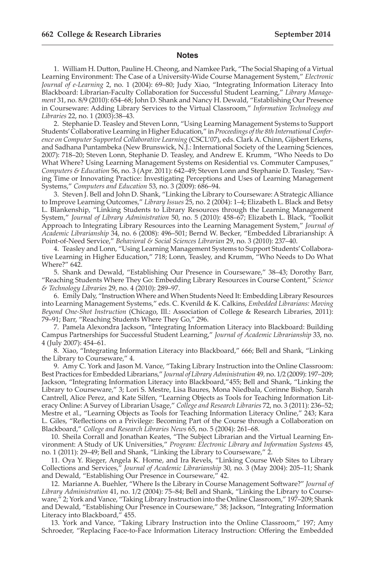#### **Notes**

 1. William H. Dutton, Pauline H. Cheong, and Namkee Park, "The Social Shaping of a Virtual Learning Environment: The Case of a University-Wide Course Management System," *Electronic Journal of e-Learning* 2, no. 1 (2004): 69–80; Judy Xiao, "Integrating Information Literacy Into Blackboard: Librarian-Faculty Collaboration for Successful Student Learning," *Library Management* 31, no. 8/9 (2010): 654–68; John D. Shank and Nancy H. Dewald, "Establishing Our Presence in Courseware: Adding Library Services to the Virtual Classroom," *Information Technology and Libraries* 22, no. 1 (2003):38–43.

 2. Stephanie D. Teasley and Steven Lonn, "Using Learning Management Systems to Support Students' Collaborative Learning in Higher Education," in *Proceedings of the 8th International Conference on Computer Supported Collaborative Learning* (CSCL'07), eds. Clark A. Chinn, Gijsbert Erkens, and Sadhana Puntambeka (New Brunswick, N.J.: International Society of the Learning Sciences, 2007): 718–20; Steven Lonn, Stephanie D. Teasley, and Andrew E. Krumm, "Who Needs to Do What Where? Using Learning Management Systems on Residential vs. Commuter Campuses," *Computers & Education* 56, no. 3 (Apr. 2011): 642–49; Steven Lonn and Stephanie D. Teasley, "Saving Time or Innovating Practice: Investigating Perceptions and Uses of Learning Management Systems," *Computers and Education* 53, no. 3 (2009): 686–94.

 3. Steven J. Bell and John D. Shank, "Linking the Library to Courseware: A Strategic Alliance to Improve Learning Outcomes," *Library Issues* 25, no. 2 (2004): 1–4; Elizabeth L. Black and Betsy L. Blankenship, "Linking Students to Library Resources through the Learning Management System," *Journal of Library Administration* 50, no. 5 (2010): 458–67; Elizabeth L. Black, "Toolkit Approach to Integrating Library Resources into the Learning Management System," *Journal of Academic Librarianship* 34, no. 6 (2008): 496–501; Bernd W. Becker, "Embedded Librarianship: A Point-of-Need Service," *Behavioral & Social Sciences Librarian* 29, no. 3 (2010): 237–40.

 4. Teasley and Lonn, "Using Learning Management Systems to Support Students' Collaborative Learning in Higher Education," 718; Lonn, Teasley, and Krumm, "Who Needs to Do What Where?" 642.

 5. Shank and Dewald, "Establishing Our Presence in Courseware," 38–43; Dorothy Barr, "Reaching Students Where They Go: Embedding Library Resources in Course Content," *Science & Technology Libraries* 29, no. 4 (2010): 289–97.

 6. Emily Daly, "Instruction Where and When Students Need It: Embedding Library Resources into Learning Management Systems," eds. C. Kvenild & K. Calkins, *Embedded Librarians: Moving Beyond One-Shot Instruction* (Chicago, Ill.: Association of College & Research Libraries, 2011): 79–91; Barr, "Reaching Students Where They Go," 296.

 7. Pamela Alexondra Jackson, "Integrating Information Literacy into Blackboard: Building Campus Partnerships for Successful Student Learning," *Journal of Academic Librarianship* 33, no. 4 (July 2007): 454–61.

 8. Xiao, "Integrating Information Literacy into Blackboard," 666; Bell and Shank, "Linking the Library to Courseware," 4.

 9. Amy C. York and Jason M. Vance, "Taking Library Instruction into the Online Classroom: Best Practices for Embedded Librarians," *Journal of Library Administration* 49*,* no. 1/2 (2009): 197–209; Jackson, "Integrating Information Literacy into Blackboard,"455; Bell and Shank, "Linking the Library to Courseware," 3; Lori S. Mestre, Lisa Baures, Mona Niedbala, Corinne Bishop, Sarah Cantrell, Alice Perez, and Kate Silfen, "Learning Objects as Tools for Teaching Information Literacy Online: A Survey of Librarian Usage," *College and Research Libraries* 72, no. 3 (2011): 236–52; Mestre et al., "Learning Objects as Tools for Teaching Information Literacy Online," 243; Kara L. Giles, "Reflections on a Privilege: Becoming Part of the Course through a Collaboration on Blackboard," *College and Research Libraries News* 65, no. 5 (2004): 261–68.

 10. Sheila Corrall and Jonathan Keates, "The Subject Librarian and the Virtual Learning Environment: A Study of UK Universities," *Program: Electronic Library and Information Systems* 45, no. 1 (2011): 29–49; Bell and Shank, "Linking the Library to Courseware," 2.

 11. Oya Y. Rieger, Angela K. Horne, and Ira Revels, "Linking Course Web Sites to Library Collections and Services," *Journal of Academic Librarianship* 30*,* no. 3 (May 2004): 205–11; Shank and Dewald, "Establishing Our Presence in Courseware," 42.

 12. Marianne A. Buehler, "Where Is the Library in Course Management Software?" *Journal of Library Administration* 41, no. 1/2 (2004): 75–84; Bell and Shank, "Linking the Library to Courseware," 2; York and Vance, "Taking Library Instruction into the Online Classroom," 197–209; Shank and Dewald, "Establishing Our Presence in Courseware," 38; Jackson, "Integrating Information Literacy into Blackboard," 455.

 13. York and Vance, "Taking Library Instruction into the Online Classroom," 197; Amy Schroeder, "Replacing Face-to-Face Information Literacy Instruction: Offering the Embedded